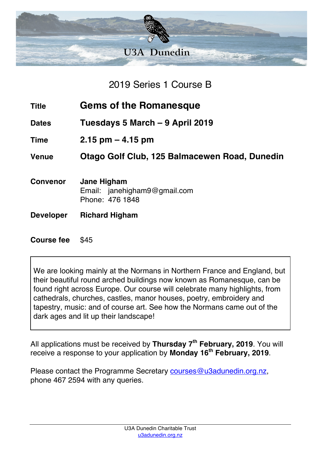

2019 Series 1 Course B

- **Title Gems of the Romanesque**
- **Dates Tuesdays 5 March – 9 April 2019**
- **Time 2.15 pm – 4.15 pm**

**Venue Otago Golf Club, 125 Balmacewen Road, Dunedin**

- **Convenor Jane Higham** Email: janehigham9@gmail.com Phone: 476 1848
- **Developer Richard Higham**

## **Course fee** \$45

We are looking mainly at the Normans in Northern France and England, but their beautiful round arched buildings now known as Romanesque, can be found right across Europe. Our course will celebrate many highlights, from cathedrals, churches, castles, manor houses, poetry, embroidery and tapestry, music: and of course art. See how the Normans came out of the dark ages and lit up their landscape!

All applications must be received by **Thursday 7th February, 2019**. You will receive a response to your application by **Monday 16th February, 2019**.

Please contact the Programme Secretary courses@u3adunedin.org.nz, phone 467 2594 with any queries.